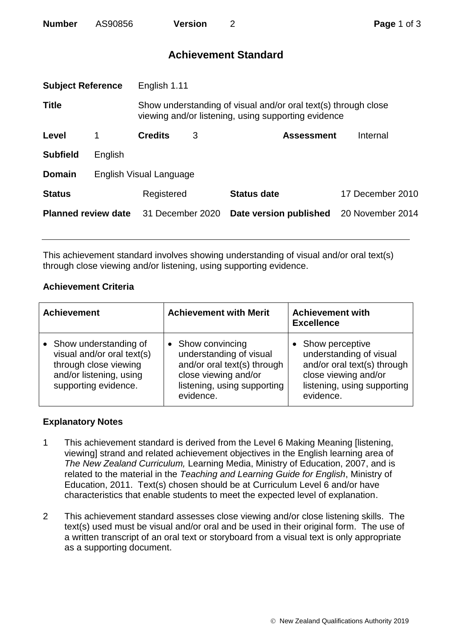| <b>Number</b> | AS90856 | <b>Version</b> |  |
|---------------|---------|----------------|--|
|               |         |                |  |

# **Achievement Standard**

| <b>Subject Reference</b>   |         | English 1.11                                                                                                          |   |                        |                  |  |
|----------------------------|---------|-----------------------------------------------------------------------------------------------------------------------|---|------------------------|------------------|--|
| <b>Title</b>               |         | Show understanding of visual and/or oral text(s) through close<br>viewing and/or listening, using supporting evidence |   |                        |                  |  |
| Level                      | 1       | <b>Credits</b>                                                                                                        | 3 | <b>Assessment</b>      | Internal         |  |
| <b>Subfield</b>            | English |                                                                                                                       |   |                        |                  |  |
| <b>Domain</b>              |         | English Visual Language                                                                                               |   |                        |                  |  |
| <b>Status</b>              |         | Registered                                                                                                            |   | <b>Status date</b>     | 17 December 2010 |  |
| <b>Planned review date</b> |         | 31 December 2020                                                                                                      |   | Date version published | 20 November 2014 |  |
|                            |         |                                                                                                                       |   |                        |                  |  |

This achievement standard involves showing understanding of visual and/or oral text(s) through close viewing and/or listening, using supporting evidence.

## **Achievement Criteria**

| <b>Achievement</b>                                                                                                                | <b>Achievement with Merit</b>                                                                                                                   | <b>Achievement with</b><br><b>Excellence</b>                                                                                                  |  |
|-----------------------------------------------------------------------------------------------------------------------------------|-------------------------------------------------------------------------------------------------------------------------------------------------|-----------------------------------------------------------------------------------------------------------------------------------------------|--|
| • Show understanding of<br>visual and/or oral text(s)<br>through close viewing<br>and/or listening, using<br>supporting evidence. | • Show convincing<br>understanding of visual<br>and/or oral text(s) through<br>close viewing and/or<br>listening, using supporting<br>evidence. | Show perceptive<br>understanding of visual<br>and/or oral text(s) through<br>close viewing and/or<br>listening, using supporting<br>evidence. |  |

## **Explanatory Notes**

- 1 This achievement standard is derived from the Level 6 Making Meaning [listening, viewing] strand and related achievement objectives in the English learning area of *The New Zealand Curriculum,* Learning Media, Ministry of Education, 2007, and is related to the material in the *Teaching and Learning Guide for English*, Ministry of Education, 2011. Text(s) chosen should be at Curriculum Level 6 and/or have characteristics that enable students to meet the expected level of explanation.
- 2 This achievement standard assesses close viewing and/or close listening skills. The text(s) used must be visual and/or oral and be used in their original form. The use of a written transcript of an oral text or storyboard from a visual text is only appropriate as a supporting document.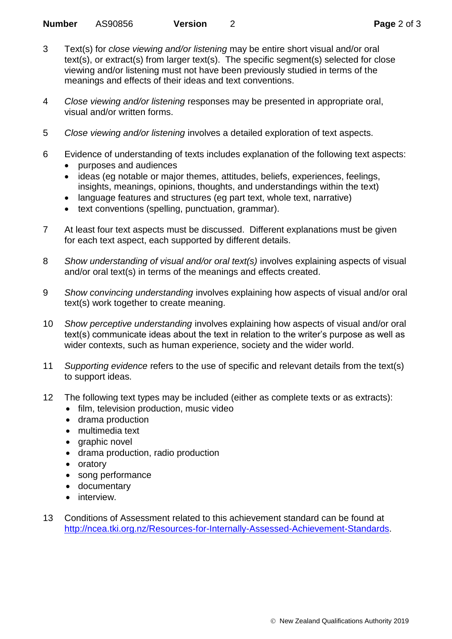- 3 Text(s) for *close viewing and/or listening* may be entire short visual and/or oral text(s), or extract(s) from larger text(s). The specific segment(s) selected for close viewing and/or listening must not have been previously studied in terms of the meanings and effects of their ideas and text conventions.
- 4 *Close viewing and/or listening* responses may be presented in appropriate oral, visual and/or written forms.
- 5 *Close viewing and/or listening* involves a detailed exploration of text aspects.
- 6 Evidence of understanding of texts includes explanation of the following text aspects:
	- purposes and audiences
	- ideas (eg notable or major themes, attitudes, beliefs, experiences, feelings, insights, meanings, opinions, thoughts, and understandings within the text)
	- language features and structures (eg part text, whole text, narrative)
	- text conventions (spelling, punctuation, grammar).
- 7 At least four text aspects must be discussed. Different explanations must be given for each text aspect, each supported by different details.
- 8 *Show understanding of visual and/or oral text(s)* involves explaining aspects of visual and/or oral text(s) in terms of the meanings and effects created.
- 9 *Show convincing understanding* involves explaining how aspects of visual and/or oral text(s) work together to create meaning.
- 10 *Show perceptive understanding* involves explaining how aspects of visual and/or oral text(s) communicate ideas about the text in relation to the writer's purpose as well as wider contexts, such as human experience, society and the wider world.
- 11 *Supporting evidence* refers to the use of specific and relevant details from the text(s) to support ideas.
- 12 The following text types may be included (either as complete texts or as extracts):
	- film, television production, music video
	- drama production
	- multimedia text
	- graphic novel
	- drama production, radio production
	- oratory
	- song performance
	- documentary
	- **•** interview
- 13 Conditions of Assessment related to this achievement standard can be found at [http://ncea.tki.org.nz/Resources-for-Internally-Assessed-Achievement-Standards.](http://ncea.tki.org.nz/Resources-for-Internally-Assessed-Achievement-Standards)